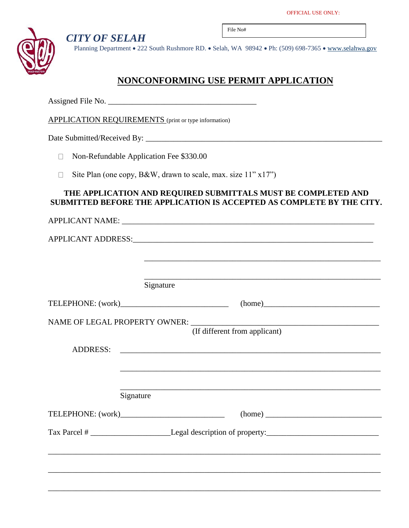

*CITY OF SELAH* 

File No#

Planning Department • 222 South Rushmore RD. • Selah, WA 98942 • Ph: (509) 698-7365 • [www.selahwa.gov](http://www.selahwa.gov/)

## **NONCONFORMING USE PERMIT APPLICATION**

Assigned File No. \_\_\_\_\_\_\_\_\_\_\_\_\_\_\_\_\_\_\_\_\_\_\_\_\_\_\_\_\_\_\_\_\_\_\_\_\_

APPLICATION REQUIREMENTS (print or type information)

Date Submitted/Received By: \_\_\_\_\_\_\_\_\_\_\_\_\_\_\_\_\_\_\_\_\_\_\_\_\_\_\_\_\_\_\_\_\_\_\_\_\_\_\_\_\_\_\_\_\_\_\_\_\_\_\_\_\_\_\_\_\_\_\_

- Non-Refundable Application Fee \$330.00  $\Box$
- $\Box$ Site Plan (one copy, B&W, drawn to scale, max. size 11" x17")

## **THE APPLICATION AND REQUIRED SUBMITTALS MUST BE COMPLETED AND SUBMITTED BEFORE THE APPLICATION IS ACCEPTED AS COMPLETE BY THE CITY.**

| Signature                                                                                            |  |
|------------------------------------------------------------------------------------------------------|--|
| (home)                                                                                               |  |
|                                                                                                      |  |
| (If different from applicant)                                                                        |  |
| ADDRESS:                                                                                             |  |
| ,我们也不能在这里的时候,我们也不能在这里的时候,我们也不能会在这里的时候,我们也不能会在这里的时候,我们也不能会在这里的时候,我们也不能会在这里的时候,我们也不                    |  |
|                                                                                                      |  |
| Signature                                                                                            |  |
| (home)                                                                                               |  |
| Tax Parcel # ____________________________Legal description of property:_____________________________ |  |
|                                                                                                      |  |
|                                                                                                      |  |
|                                                                                                      |  |
|                                                                                                      |  |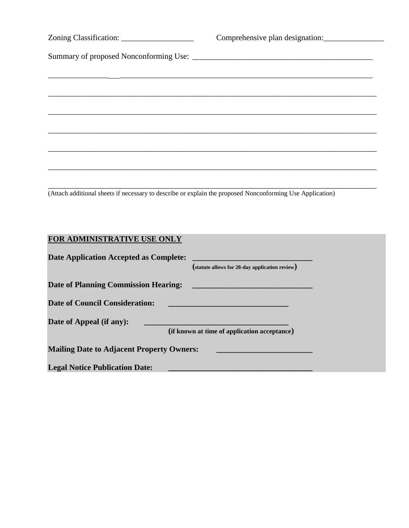| Comprehensive plan designation: |
|---------------------------------|
|                                 |
|                                 |
|                                 |
|                                 |
|                                 |
|                                 |
|                                 |
|                                 |
|                                 |

(Attach additional sheets if necessary to describe or explain the proposed Nonconforming Use Application)

## **FOR ADMINISTRATIVE USE ONLY**

| Date Application Accepted as Complete:           | <u> 1989 - Johann Barbara, martxa alemaniar amerikan basar da</u>                                                     |
|--------------------------------------------------|-----------------------------------------------------------------------------------------------------------------------|
|                                                  | (statute allows for 28-day application review)                                                                        |
| Date of Planning Commission Hearing:             | and the control of the control of the control of the control of the control of the control of                         |
| <b>Date of Council Consideration:</b>            |                                                                                                                       |
| Date of Appeal (if any):                         | <u> 1989 - Johann John Stone, markin film yn y brening yn y brening yn y brening yn y brening yn y brening yn y b</u> |
|                                                  | (if known at time of application acceptance)                                                                          |
| <b>Mailing Date to Adjacent Property Owners:</b> |                                                                                                                       |
| <b>Legal Notice Publication Date:</b>            |                                                                                                                       |